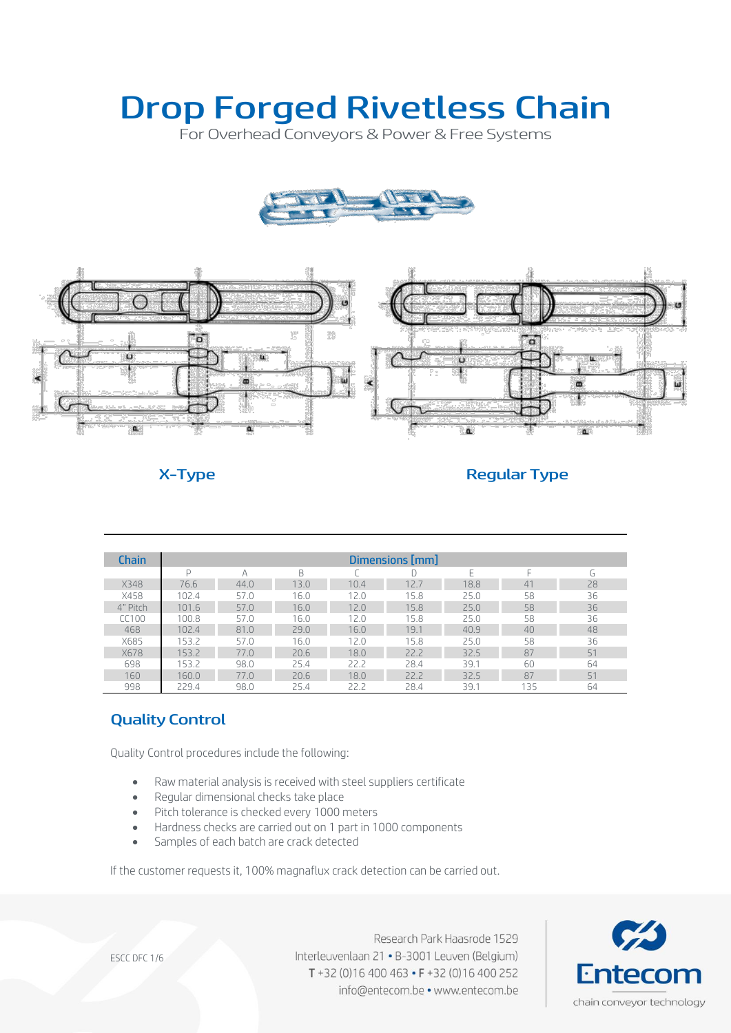For Overhead Conveyors & Power & Free Systems





### X-Type Regular Type

| <b>Chain</b> | Dimensions [mm] |      |      |      |      |      |                        |    |
|--------------|-----------------|------|------|------|------|------|------------------------|----|
|              | D               | А    | B    |      |      | F    | ⊢                      | G  |
| X348         | 76.6            | 44.0 | 13.0 | 10.4 | 12.7 | 18.8 | $\mathcal{L}^{\prime}$ | 28 |
| X458         | 102.4           | 57.0 | 16.0 | 12.0 | 15.8 | 25.0 | 58                     | 36 |
| 4" Pitch     | 101.6           | 57.0 | 16.0 | 12.0 | 15.8 | 25.0 | 58                     | 36 |
| CC100        | 100.8           | 57.0 | 16.0 | 12.0 | 15.8 | 25.0 | 58                     | 36 |
| 468          | 102.4           | 81.0 | 79.0 | 16.0 | 19.1 | 40.9 | 40                     | 48 |
| X685         | 153.2           | 57.0 | 16.0 | 12.0 | 15.8 | 25.0 | 58                     | 36 |
| <b>X678</b>  | 1532            | 77.0 | 20.6 | 18.0 | 22.2 | 32.5 | 87                     | 51 |
| 698          | 153.2           | 98.0 | 25.4 | 22.2 | 28.4 | 39.1 | 60                     | 64 |
| 160          | 160.0           | 77.0 | 20.6 | 18.0 | 22.2 | 32.5 | 87                     | 51 |
| 998          | 229.4           | 98.0 | 25.4 | 22.2 | 28.4 | 39.1 | 135                    | 64 |

# Quality Control

Quality Control procedures include the following:

- Raw material analysis is received with steel suppliers certificate
- Regular dimensional checks take place
- Pitch tolerance is checked every 1000 meters
- Hardness checks are carried out on 1 part in 1000 components
- Samples of each batch are crack detected

If the customer requests it, 100% magnaflux crack detection can be carried out.



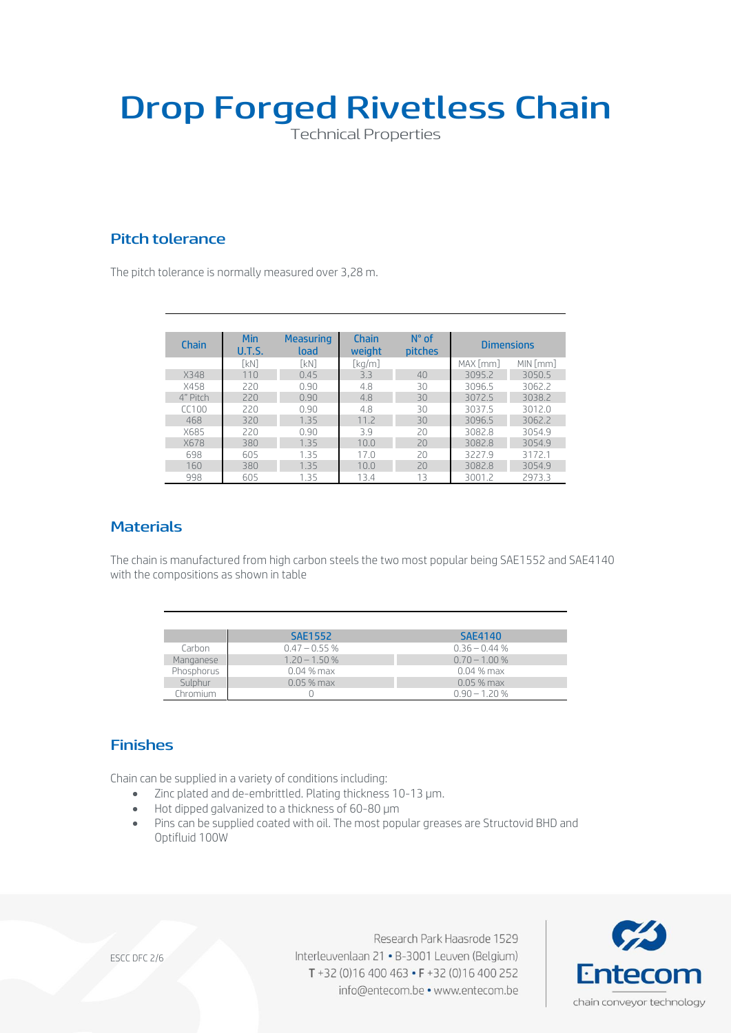Technical Properties

# Pitch tolerance

The pitch tolerance is normally measured over 3,28 m.

| Chain    | Min<br><b>U.T.S.</b> | <b>Measuring</b><br>load | Chain<br>weight | $N^{\circ}$ of<br><b>pitches</b> | <b>Dimensions</b> |          |
|----------|----------------------|--------------------------|-----------------|----------------------------------|-------------------|----------|
|          | [kN]                 | <b>TkN1</b>              | [kg/m]          |                                  | MAX [mm]          | MIN [mm] |
| X348     | 110                  | 0.45                     | 3.3             | 40                               | 3095.2            | 3050.5   |
| X458     | 220                  | 0.90                     | 4.8             | 30                               | 3096.5            | 3062.2   |
| 4" Pitch | 220                  | 0.90                     | 4.8             | 30                               | 3072.5            | 3038.2   |
| (100     | 220                  | 0.90                     | 4.8             | 30                               | 3037.5            | 3012.0   |
| 468      | 320                  | 1.35                     | 11.7            | 30                               | 3096.5            | 3062.2   |
| X685     | 220                  | 0.90                     | 3.9             | 20                               | 3082.8            | 3054.9   |
| X678     | 380                  | 1.35                     | 10.0            | 20                               | 3082.8            | 3054.9   |
| 698      | 605                  | 1.35                     | 17.0            | 20                               | 3227.9            | 3172.1   |
| 160      | 380                  | 1.35                     | 10.0            | 20                               | 3082.8            | 3054.9   |
| 998      | 605                  | 1.35                     | 13.4            | 13                               | 3001.2            | 2973.3   |

### **Materials**

The chain is manufactured from high carbon steels the two most popular being SAE1552 and SAE4140 with the compositions as shown in table

|              | <b>SAE1552</b>  | <b>SAE4140</b>  |
|--------------|-----------------|-----------------|
| Carbon       | $0.47 - 0.55$ % | $0.36 - 0.44$ % |
| Manganese    | $1.20 - 1.50 %$ | $0.70 - 1.00 %$ |
| Phosphorus   | $0.04\,\%$ max  | $0.04\%$ max    |
| Sulphur      | $0.05%$ max     | $0.05$ % max    |
| .<br>hromium |                 | $0.90 - 1.20 %$ |

### Finishes

Chain can be supplied in a variety of conditions including:

- Zinc plated and de-embrittled. Plating thickness 10-13 µm.
- Hot dipped galvanized to a thickness of 60-80  $\mu$ m
- Pins can be supplied coated with oil. The most popular greases are Structovid BHD and Optifluid 100W

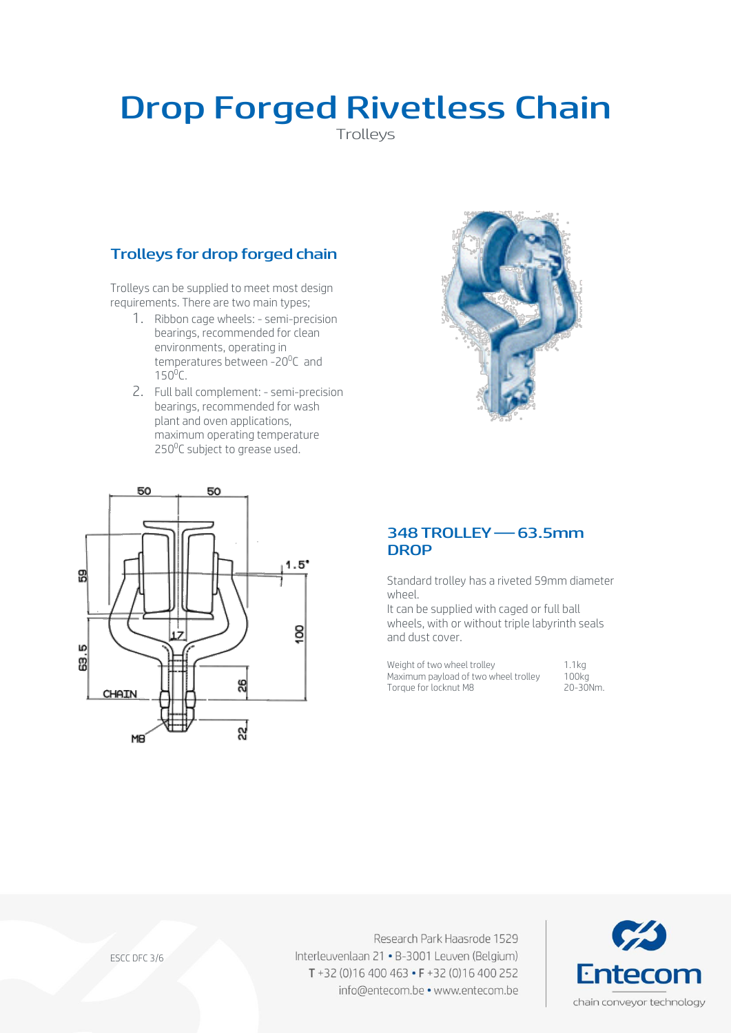Trolleys

# Trolleys for drop forged chain

Trolleys can be supplied to meet most design requirements. There are two main types;

- 1. Ribbon cage wheels: semi-precision bearings, recommended for clean environments, operating in temperatures between -20<sup>o</sup>C and  $150^0C$ .
- 2. Full ball complement: semi-precision bearings, recommended for wash plant and oven applications, maximum operating temperature 250<sup>o</sup>C subject to grease used.





### 348 TROLLEY —63.5mm **DROP**

Standard trolley has a riveted 59mm diameter wheel.

It can be supplied with caged or full ball wheels, with or without triple labyrinth seals and dust cover.

Weight of two wheel trolley 1.1kg<br>Maximum payload of two wheel trolley 100kg Maximum payload of two wheel trolley 100kg<br>Torque for locknut M8 20-30Nm Torque for locknut M8

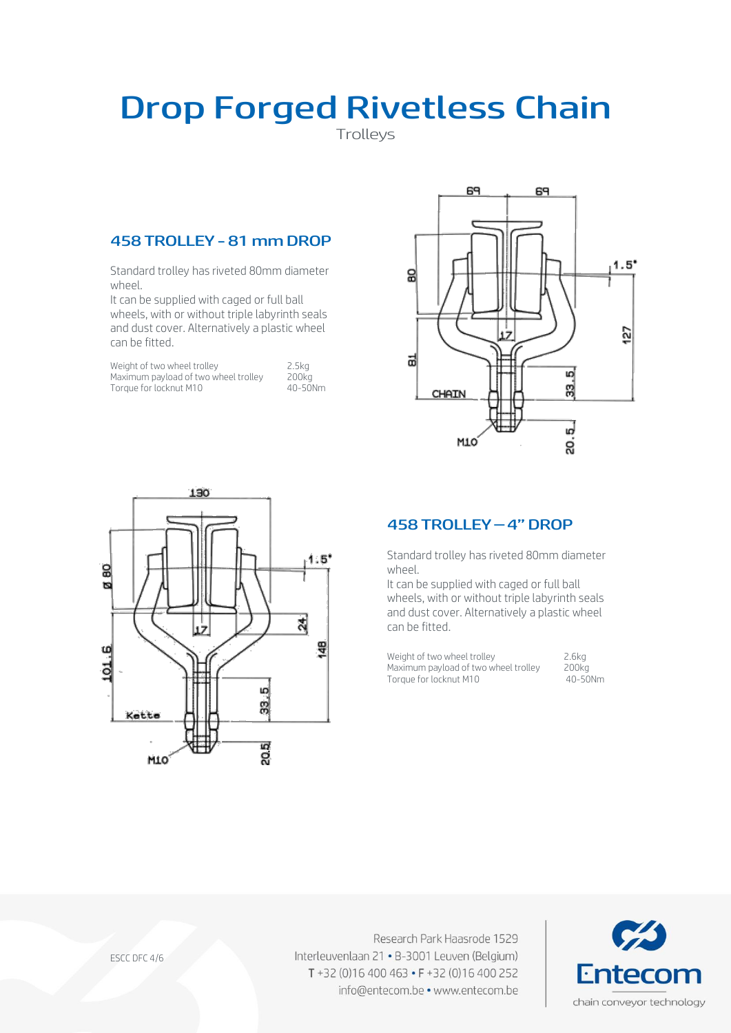Trolleys

### 458 TROLLEY -81 mm DROP

Standard trolley has riveted 80mm diameter wheel.

It can be supplied with caged or full ball wheels, with or without triple labyrinth seals and dust cover. Alternatively a plastic wheel can be fitted.

Weight of two wheel trolley 2.5kg<br>Maximum payload of two wheel trolley 200kg Maximum payload of two wheel trolley 200kg<br>Torque for locknut M10 40-50Nm Torque for locknut M10





### 458 TROLLEY –4" DROP

Standard trolley has riveted 80mm diameter wheel.

It can be supplied with caged or full ball wheels, with or without triple labyrinth seals and dust cover. Alternatively a plastic wheel can be fitted.

Weight of two wheel trolley 2.6kg<br>Maximum payload of two wheel trolley 200kg Maximum payload of two wheel trolley 200kg<br>Torque for locknut M10 40-50Nm Torque for locknut M10



ESCC DFC 4/6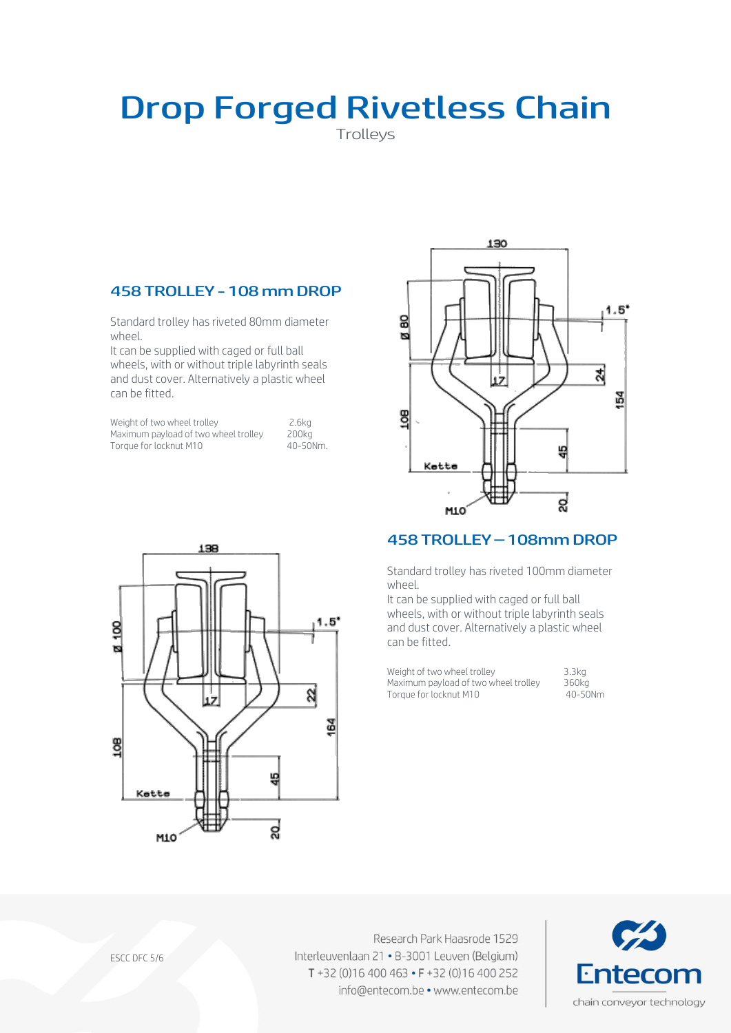Trolleys

### 458 TROLLEY -108 mm DROP

Standard trolley has riveted 80mm diameter wheel.

It can be supplied with caged or full ball wheels, with or without triple labyrinth seals and dust cover. Alternatively a plastic wheel can be fitted.

| Weight of two wheel trolley          | 2.6ka    |
|--------------------------------------|----------|
| Maximum payload of two wheel trolley | 200ka    |
| Torque for locknut M10               | 40-50Nm. |



#### 458 TROLLEY –108mm DROP

Standard trolley has riveted 100mm diameter wheel.

It can be supplied with caged or full ball wheels, with or without triple labyrinth seals and dust cover. Alternatively a plastic wheel can be fitted.

Weight of two wheel trolley 3.3kg<br>Maximum payload of two wheel trolley 360kg Maximum payload of two wheel trolley a 360kg<br>Torque for locknut M10 40-50Nm Torque for locknut M10



ESCC DFC 5/6